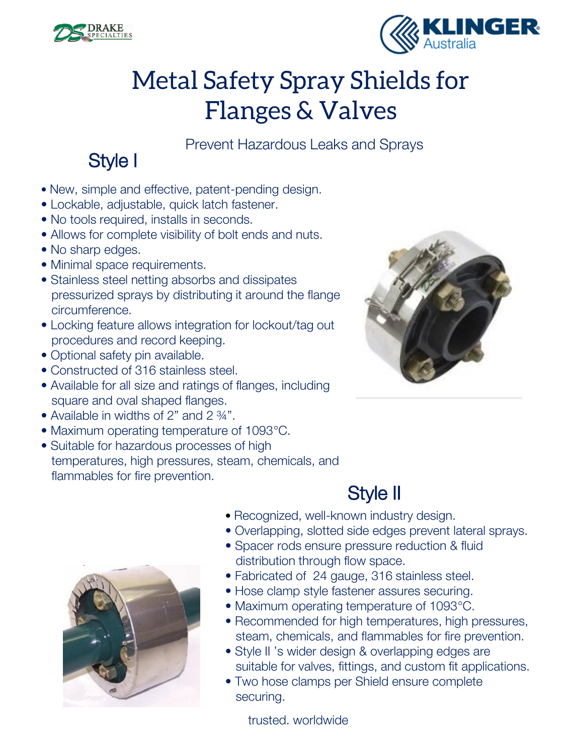



## Metal Safety Spray Shields for Flanges & Valves

Prevent Hazardous Leaks and Sprays

#### Style I

- New, simple and effective, patent-pending design.
- Lockable, adjustable, quick latch fastener.
- No tools required, installs in seconds.
- Allows for complete visibility of bolt ends and nuts.
- No sharp edges.
- Minimal space requirements.
- Stainless steel netting absorbs and dissipates pressurized sprays by distributing it around the flange circumference.
- Locking feature allows integration for lockout/tag out procedures and record keeping.
- Optional safety pin available.
- Constructed of 316 stainless steel.
- Available for all size and ratings of flanges, including square and oval shaped flanges.
- Available in widths of 2" and 2 34".
- Maximum operating temperature of 1093°C.
- Suitable for hazardous processes of high temperatures, high pressures, steam, chemicals, and flammables for fire prevention.





- Recognized, well-known industry design.
- Overlapping, slotted side edges prevent lateral sprays.
- Spacer rods ensure pressure reduction & fluid distribution through flow space.
- Fabricated of 24 gauge, 316 stainless steel.
- Hose clamp style fastener assures securing.
- Maximum operating temperature of 1093°C.
- Recommended for high temperatures, high pressures, steam, chemicals, and flammables for fire prevention.
- Style II 's wider design & overlapping edges are suitable for valves, fittings, and custom fit applications.
- Two hose clamps per Shield ensure complete securing.

trusted. worldwide

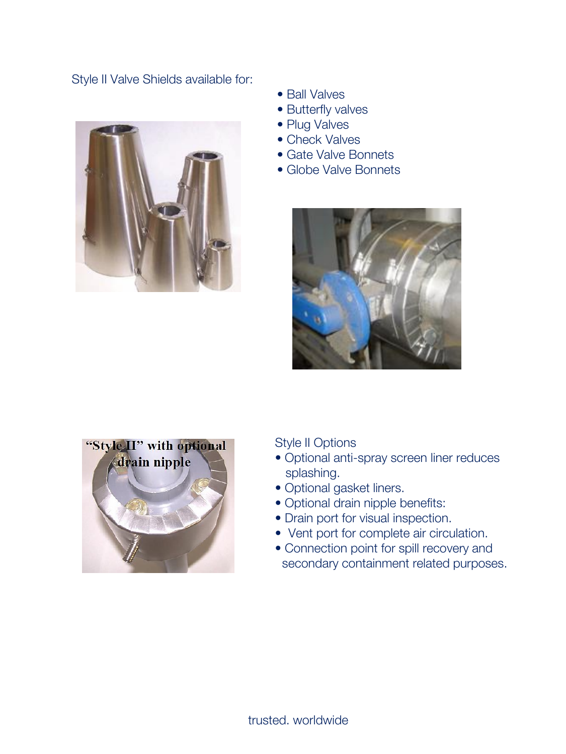Style II Valve Shields available for:



- Ball Valves
- Butterfly valves
- Plug Valves
- Check Valves
- Gate Valve Bonnets
- Globe Valve Bonnets





Style II Options

- Optional anti-spray screen liner reduces splashing.
- Optional gasket liners.
- Optional drain nipple benefits:
- Drain port for visual inspection.
- Vent port for complete air circulation.
- Connection point for spill recovery and secondary containment related purposes.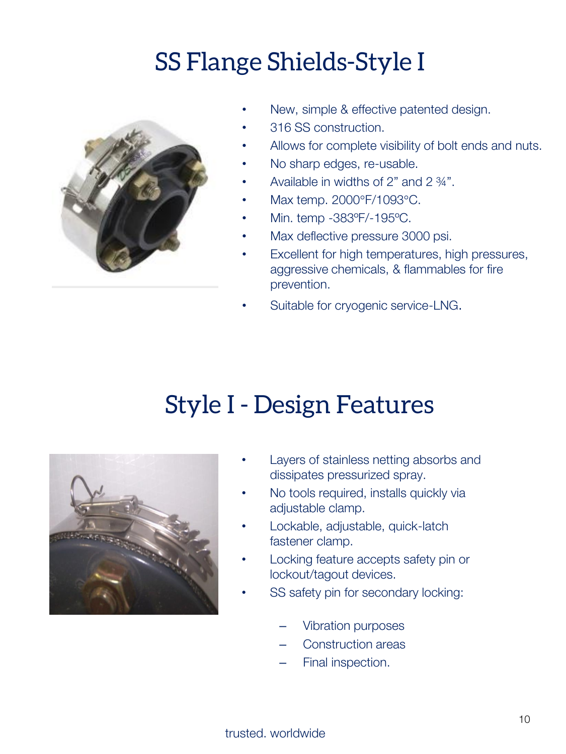# SS Flange Shields-Style I



- New, simple & effective patented design.
- 316 SS construction.
- Allows for complete visibility of bolt ends and nuts.
- No sharp edges, re-usable.
- Available in widths of 2" and 2 ¾".
- Max temp. 2000°F/1093°C.
- Min. temp -383ºF/-195ºC.
- Max deflective pressure 3000 psi.
- Excellent for high temperatures, high pressures, aggressive chemicals, & flammables for fire prevention.
- Suitable for cryogenic service-LNG.

#### Style I - Design Features



- Layers of stainless netting absorbs and dissipates pressurized spray.
- No tools required, installs quickly via adjustable clamp.
- Lockable, adjustable, quick-latch fastener clamp.
- Locking feature accepts safety pin or lockout/tagout devices.
- SS safety pin for secondary locking:
	- Vibration purposes
	- Construction areas
	- Final inspection.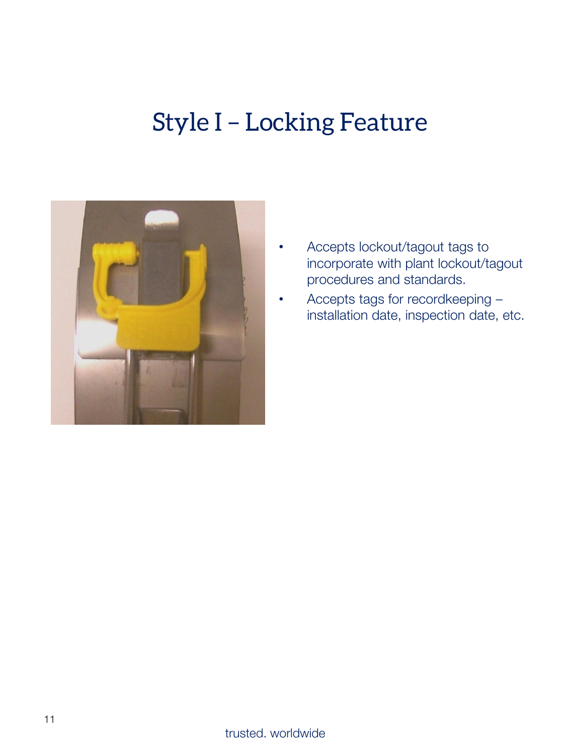### Style I – Locking Feature



- Accepts lockout/tagout tags to incorporate with plant lockout/tagout procedures and standards.
- Accepts tags for recordkeeping installation date, inspection date, etc.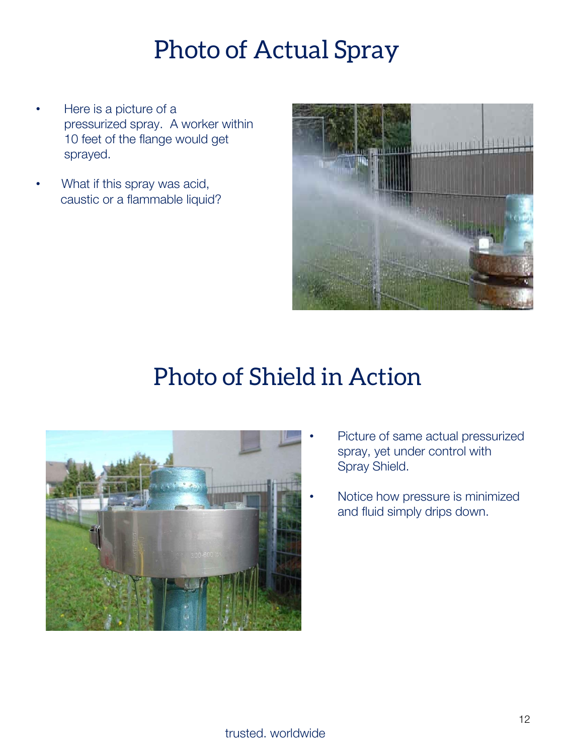## Photo of Actual Spray

- Here is a picture of a pressurized spray. A worker within 10 feet of the flange would get sprayed.
- What if this spray was acid, caustic or a flammable liquid?



### Photo of Shield in Action



- Picture of same actual pressurized spray, yet under control with Spray Shield.
- Notice how pressure is minimized and fluid simply drips down.